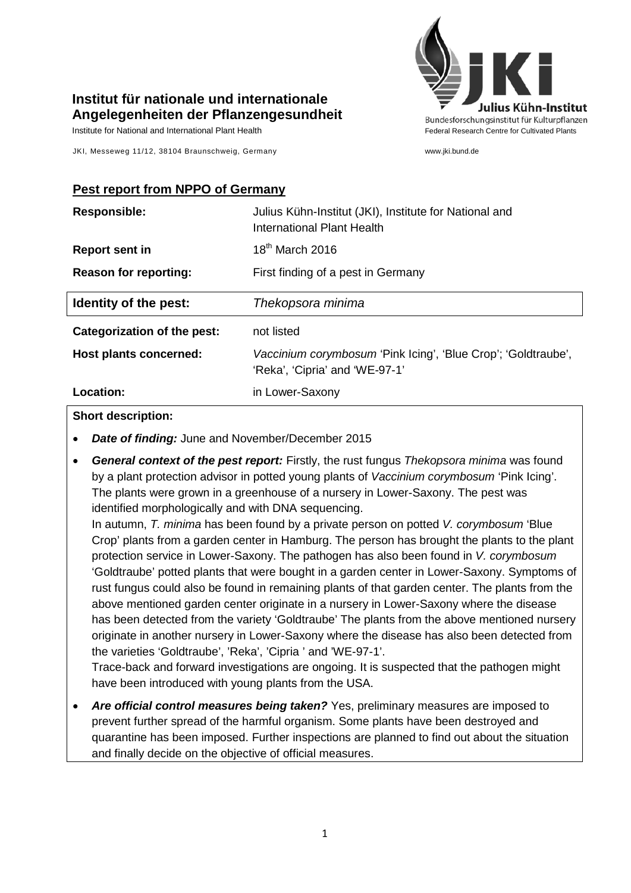

## **Institut für nationale und internationale Angelegenheiten der Pflanzengesundheit**

Institute for National and International Plant Health Feature And Theorem Federal Research Centre for Cultivated Plants

JKI, Messeweg 11/12, 38104 Braunschweig, Germany www.jki.bund.de

### **Pest report from NPPO of Germany**

| <b>Responsible:</b>          | Julius Kühn-Institut (JKI), Institute for National and<br><b>International Plant Health</b>     |
|------------------------------|-------------------------------------------------------------------------------------------------|
| <b>Report sent in</b>        | 18 <sup>th</sup> March 2016                                                                     |
| <b>Reason for reporting:</b> | First finding of a pest in Germany                                                              |
| Identity of the pest:        | Thekopsora minima                                                                               |
| Categorization of the pest:  | not listed                                                                                      |
| Host plants concerned:       | Vaccinium corymbosum 'Pink Icing', 'Blue Crop'; 'Goldtraube',<br>'Reka', 'Cipria' and 'WE-97-1' |
| Location:                    | in Lower-Saxony                                                                                 |

#### **Short description:**

- *Date of finding:* June and November/December 2015
- *General context of the pest report:* Firstly, the rust fungus *Thekopsora minima* was found by a plant protection advisor in potted young plants of *Vaccinium corymbosum* 'Pink Icing'. The plants were grown in a greenhouse of a nursery in Lower-Saxony. The pest was identified morphologically and with DNA sequencing.

In autumn, *T. minima* has been found by a private person on potted *V. corymbosum* 'Blue Crop' plants from a garden center in Hamburg. The person has brought the plants to the plant protection service in Lower-Saxony. The pathogen has also been found in *V. corymbosum* 'Goldtraube' potted plants that were bought in a garden center in Lower-Saxony. Symptoms of rust fungus could also be found in remaining plants of that garden center. The plants from the above mentioned garden center originate in a nursery in Lower-Saxony where the disease has been detected from the variety 'Goldtraube' The plants from the above mentioned nursery originate in another nursery in Lower-Saxony where the disease has also been detected from the varieties 'Goldtraube', 'Reka', 'Cipria ' and 'WE-97-1'.

Trace-back and forward investigations are ongoing. It is suspected that the pathogen might have been introduced with young plants from the USA.

• *Are official control measures being taken?* Yes, preliminary measures are imposed to prevent further spread of the harmful organism. Some plants have been destroyed and quarantine has been imposed. Further inspections are planned to find out about the situation and finally decide on the objective of official measures.